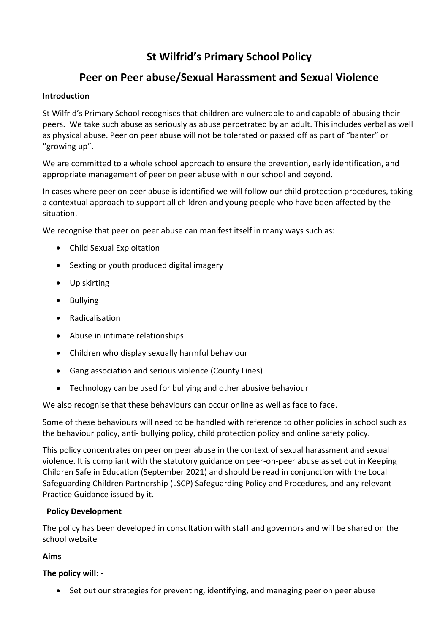# **St Wilfrid's Primary School Policy**

# **Peer on Peer abuse/Sexual Harassment and Sexual Violence**

# **Introduction**

St Wilfrid's Primary School recognises that children are vulnerable to and capable of abusing their peers. We take such abuse as seriously as abuse perpetrated by an adult. This includes verbal as well as physical abuse. Peer on peer abuse will not be tolerated or passed off as part of "banter" or "growing up".

We are committed to a whole school approach to ensure the prevention, early identification, and appropriate management of peer on peer abuse within our school and beyond.

In cases where peer on peer abuse is identified we will follow our child protection procedures, taking a contextual approach to support all children and young people who have been affected by the situation.

We recognise that peer on peer abuse can manifest itself in many ways such as:

- Child Sexual Exploitation
- Sexting or youth produced digital imagery
- Up skirting
- Bullying
- Radicalisation
- Abuse in intimate relationships
- Children who display sexually harmful behaviour
- Gang association and serious violence (County Lines)
- Technology can be used for bullying and other abusive behaviour

We also recognise that these behaviours can occur online as well as face to face.

Some of these behaviours will need to be handled with reference to other policies in school such as the behaviour policy, anti- bullying policy, child protection policy and online safety policy.

This policy concentrates on peer on peer abuse in the context of sexual harassment and sexual violence. It is compliant with the statutory guidance on peer-on-peer abuse as set out in Keeping Children Safe in Education (September 2021) and should be read in conjunction with the Local Safeguarding Children Partnership (LSCP) Safeguarding Policy and Procedures, and any relevant Practice Guidance issued by it.

# **Policy Development**

The policy has been developed in consultation with staff and governors and will be shared on the school website

# **Aims**

# **The policy will: -**

Set out our strategies for preventing, identifying, and managing peer on peer abuse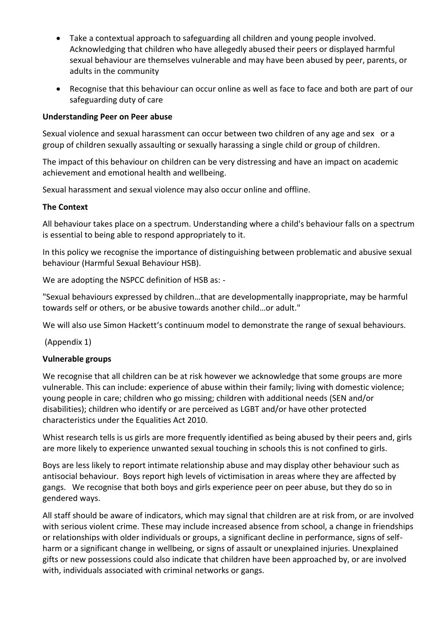- Take a contextual approach to safeguarding all children and young people involved. Acknowledging that children who have allegedly abused their peers or displayed harmful sexual behaviour are themselves vulnerable and may have been abused by peer, parents, or adults in the community
- Recognise that this behaviour can occur online as well as face to face and both are part of our safeguarding duty of care

#### **Understanding Peer on Peer abuse**

Sexual violence and sexual harassment can occur between two children of any age and sex or a group of children sexually assaulting or sexually harassing a single child or group of children.

The impact of this behaviour on children can be very distressing and have an impact on academic achievement and emotional health and wellbeing.

Sexual harassment and sexual violence may also occur online and offline.

#### **The Context**

All behaviour takes place on a spectrum. Understanding where a child's behaviour falls on a spectrum is essential to being able to respond appropriately to it.

In this policy we recognise the importance of distinguishing between problematic and abusive sexual behaviour (Harmful Sexual Behaviour HSB).

We are adopting the NSPCC definition of HSB as: -

"Sexual behaviours expressed by children…that are developmentally inappropriate, may be harmful towards self or others, or be abusive towards another child…or adult."

We will also use Simon Hackett's continuum model to demonstrate the range of sexual behaviours.

(Appendix 1)

# **Vulnerable groups**

We recognise that all children can be at risk however we acknowledge that some groups are more vulnerable. This can include: experience of abuse within their family; living with domestic violence; young people in care; children who go missing; children with additional needs (SEN and/or disabilities); children who identify or are perceived as LGBT and/or have other protected characteristics under the Equalities Act 2010.

Whist research tells is us girls are more frequently identified as being abused by their peers and, girls are more likely to experience unwanted sexual touching in schools this is not confined to girls.

Boys are less likely to report intimate relationship abuse and may display other behaviour such as antisocial behaviour. Boys report high levels of victimisation in areas where they are affected by gangs. We recognise that both boys and girls experience peer on peer abuse, but they do so in gendered ways.

All staff should be aware of indicators, which may signal that children are at risk from, or are involved with serious violent crime. These may include increased absence from school, a change in friendships or relationships with older individuals or groups, a significant decline in performance, signs of selfharm or a significant change in wellbeing, or signs of assault or unexplained injuries. Unexplained gifts or new possessions could also indicate that children have been approached by, or are involved with, individuals associated with criminal networks or gangs.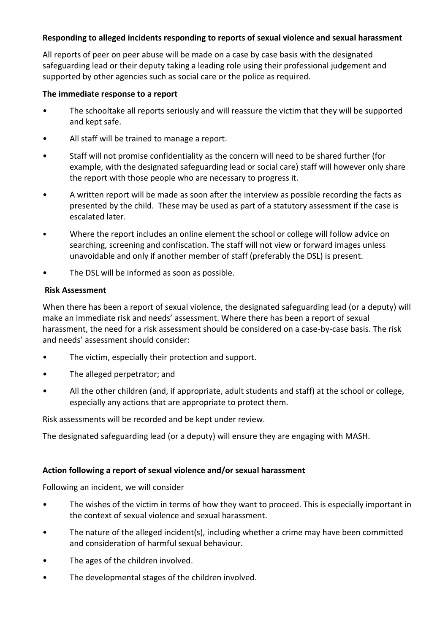## **Responding to alleged incidents responding to reports of sexual violence and sexual harassment**

All reports of peer on peer abuse will be made on a case by case basis with the designated safeguarding lead or their deputy taking a leading role using their professional judgement and supported by other agencies such as social care or the police as required.

#### **The immediate response to a report**

- The schooltake all reports seriously and will reassure the victim that they will be supported and kept safe.
- All staff will be trained to manage a report.
- Staff will not promise confidentiality as the concern will need to be shared further (for example, with the designated safeguarding lead or social care) staff will however only share the report with those people who are necessary to progress it.
- A written report will be made as soon after the interview as possible recording the facts as presented by the child. These may be used as part of a statutory assessment if the case is escalated later.
- Where the report includes an online element the school or college will follow advice on searching, screening and confiscation. The staff will not view or forward images unless unavoidable and only if another member of staff (preferably the DSL) is present.
- The DSL will be informed as soon as possible.

#### **Risk Assessment**

When there has been a report of sexual violence, the designated safeguarding lead (or a deputy) will make an immediate risk and needs' assessment. Where there has been a report of sexual harassment, the need for a risk assessment should be considered on a case-by-case basis. The risk and needs' assessment should consider:

- The victim, especially their protection and support.
- The alleged perpetrator; and
- All the other children (and, if appropriate, adult students and staff) at the school or college, especially any actions that are appropriate to protect them.

Risk assessments will be recorded and be kept under review.

The designated safeguarding lead (or a deputy) will ensure they are engaging with MASH.

# **Action following a report of sexual violence and/or sexual harassment**

Following an incident, we will consider

- The wishes of the victim in terms of how they want to proceed. This is especially important in the context of sexual violence and sexual harassment.
- The nature of the alleged incident(s), including whether a crime may have been committed and consideration of harmful sexual behaviour.
- The ages of the children involved.
- The developmental stages of the children involved.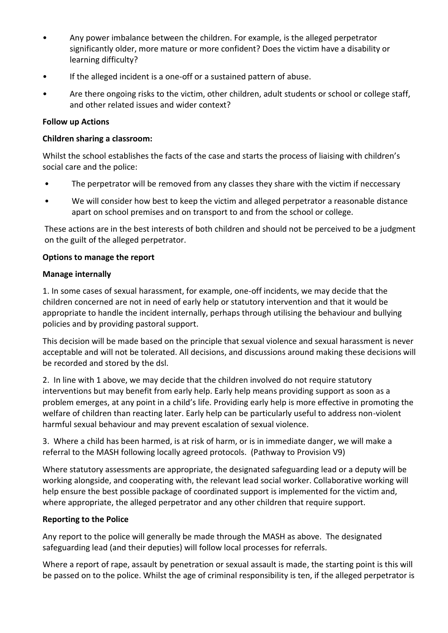- Any power imbalance between the children. For example, is the alleged perpetrator significantly older, more mature or more confident? Does the victim have a disability or learning difficulty?
- If the alleged incident is a one-off or a sustained pattern of abuse.
- Are there ongoing risks to the victim, other children, adult students or school or college staff, and other related issues and wider context?

## **Follow up Actions**

#### **Children sharing a classroom:**

Whilst the school establishes the facts of the case and starts the process of liaising with children's social care and the police:

- The perpetrator will be removed from any classes they share with the victim if neccessary
- We will consider how best to keep the victim and alleged perpetrator a reasonable distance apart on school premises and on transport to and from the school or college.

These actions are in the best interests of both children and should not be perceived to be a judgment on the guilt of the alleged perpetrator.

#### **Options to manage the report**

#### **Manage internally**

1. In some cases of sexual harassment, for example, one-off incidents, we may decide that the children concerned are not in need of early help or statutory intervention and that it would be appropriate to handle the incident internally, perhaps through utilising the behaviour and bullying policies and by providing pastoral support.

This decision will be made based on the principle that sexual violence and sexual harassment is never acceptable and will not be tolerated. All decisions, and discussions around making these decisions will be recorded and stored by the dsl.

2. In line with 1 above, we may decide that the children involved do not require statutory interventions but may benefit from early help. Early help means providing support as soon as a problem emerges, at any point in a child's life. Providing early help is more effective in promoting the welfare of children than reacting later. Early help can be particularly useful to address non-violent harmful sexual behaviour and may prevent escalation of sexual violence.

3. Where a child has been harmed, is at risk of harm, or is in immediate danger, we will make a referral to the MASH following locally agreed protocols. (Pathway to Provision V9)

Where statutory assessments are appropriate, the designated safeguarding lead or a deputy will be working alongside, and cooperating with, the relevant lead social worker. Collaborative working will help ensure the best possible package of coordinated support is implemented for the victim and, where appropriate, the alleged perpetrator and any other children that require support.

# **Reporting to the Police**

Any report to the police will generally be made through the MASH as above. The designated safeguarding lead (and their deputies) will follow local processes for referrals.

Where a report of rape, assault by penetration or sexual assault is made, the starting point is this will be passed on to the police. Whilst the age of criminal responsibility is ten, if the alleged perpetrator is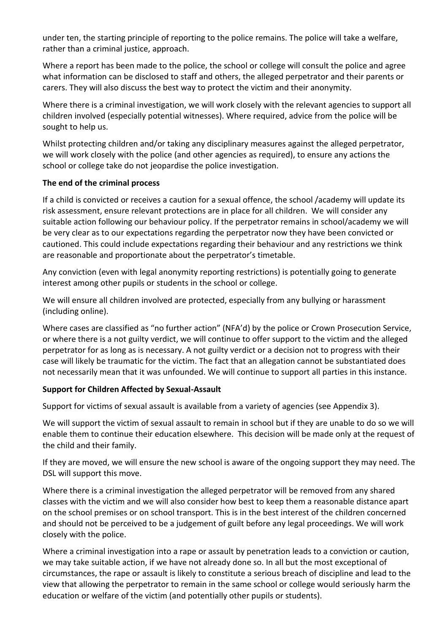under ten, the starting principle of reporting to the police remains. The police will take a welfare, rather than a criminal justice, approach.

Where a report has been made to the police, the school or college will consult the police and agree what information can be disclosed to staff and others, the alleged perpetrator and their parents or carers. They will also discuss the best way to protect the victim and their anonymity.

Where there is a criminal investigation, we will work closely with the relevant agencies to support all children involved (especially potential witnesses). Where required, advice from the police will be sought to help us.

Whilst protecting children and/or taking any disciplinary measures against the alleged perpetrator, we will work closely with the police (and other agencies as required), to ensure any actions the school or college take do not jeopardise the police investigation.

# **The end of the criminal process**

If a child is convicted or receives a caution for a sexual offence, the school /academy will update its risk assessment, ensure relevant protections are in place for all children. We will consider any suitable action following our behaviour policy. If the perpetrator remains in school/academy we will be very clear as to our expectations regarding the perpetrator now they have been convicted or cautioned. This could include expectations regarding their behaviour and any restrictions we think are reasonable and proportionate about the perpetrator's timetable.

Any conviction (even with legal anonymity reporting restrictions) is potentially going to generate interest among other pupils or students in the school or college.

We will ensure all children involved are protected, especially from any bullying or harassment (including online).

Where cases are classified as "no further action" (NFA'd) by the police or Crown Prosecution Service, or where there is a not guilty verdict, we will continue to offer support to the victim and the alleged perpetrator for as long as is necessary. A not guilty verdict or a decision not to progress with their case will likely be traumatic for the victim. The fact that an allegation cannot be substantiated does not necessarily mean that it was unfounded. We will continue to support all parties in this instance.

# **Support for Children Affected by Sexual-Assault**

Support for victims of sexual assault is available from a variety of agencies (see Appendix 3).

We will support the victim of sexual assault to remain in school but if they are unable to do so we will enable them to continue their education elsewhere. This decision will be made only at the request of the child and their family.

If they are moved, we will ensure the new school is aware of the ongoing support they may need. The DSL will support this move.

Where there is a criminal investigation the alleged perpetrator will be removed from any shared classes with the victim and we will also consider how best to keep them a reasonable distance apart on the school premises or on school transport. This is in the best interest of the children concerned and should not be perceived to be a judgement of guilt before any legal proceedings. We will work closely with the police.

Where a criminal investigation into a rape or assault by penetration leads to a conviction or caution, we may take suitable action, if we have not already done so. In all but the most exceptional of circumstances, the rape or assault is likely to constitute a serious breach of discipline and lead to the view that allowing the perpetrator to remain in the same school or college would seriously harm the education or welfare of the victim (and potentially other pupils or students).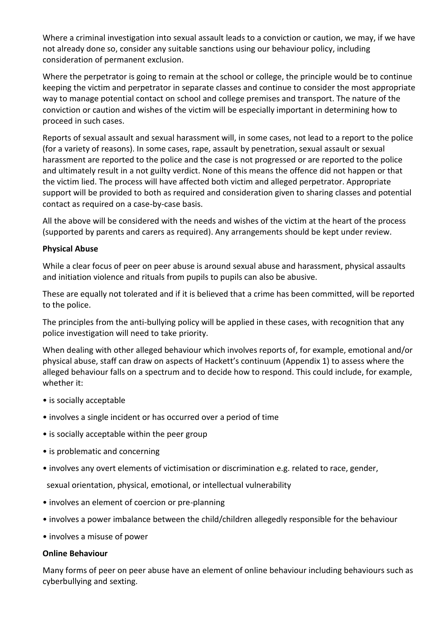Where a criminal investigation into sexual assault leads to a conviction or caution, we may, if we have not already done so, consider any suitable sanctions using our behaviour policy, including consideration of permanent exclusion.

Where the perpetrator is going to remain at the school or college, the principle would be to continue keeping the victim and perpetrator in separate classes and continue to consider the most appropriate way to manage potential contact on school and college premises and transport. The nature of the conviction or caution and wishes of the victim will be especially important in determining how to proceed in such cases.

Reports of sexual assault and sexual harassment will, in some cases, not lead to a report to the police (for a variety of reasons). In some cases, rape, assault by penetration, sexual assault or sexual harassment are reported to the police and the case is not progressed or are reported to the police and ultimately result in a not guilty verdict. None of this means the offence did not happen or that the victim lied. The process will have affected both victim and alleged perpetrator. Appropriate support will be provided to both as required and consideration given to sharing classes and potential contact as required on a case-by-case basis.

All the above will be considered with the needs and wishes of the victim at the heart of the process (supported by parents and carers as required). Any arrangements should be kept under review.

#### **Physical Abuse**

While a clear focus of peer on peer abuse is around sexual abuse and harassment, physical assaults and initiation violence and rituals from pupils to pupils can also be abusive.

These are equally not tolerated and if it is believed that a crime has been committed, will be reported to the police.

The principles from the anti-bullying policy will be applied in these cases, with recognition that any police investigation will need to take priority.

When dealing with other alleged behaviour which involves reports of, for example, emotional and/or physical abuse, staff can draw on aspects of Hackett's continuum (Appendix 1) to assess where the alleged behaviour falls on a spectrum and to decide how to respond. This could include, for example, whether it:

- is socially acceptable
- involves a single incident or has occurred over a period of time
- is socially acceptable within the peer group
- is problematic and concerning
- involves any overt elements of victimisation or discrimination e.g. related to race, gender,

sexual orientation, physical, emotional, or intellectual vulnerability

- involves an element of coercion or pre-planning
- involves a power imbalance between the child/children allegedly responsible for the behaviour
- involves a misuse of power

#### **Online Behaviour**

Many forms of peer on peer abuse have an element of online behaviour including behaviours such as cyberbullying and sexting.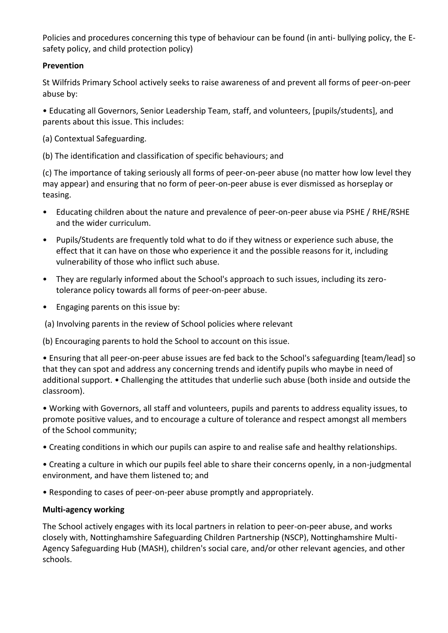Policies and procedures concerning this type of behaviour can be found (in anti- bullying policy, the Esafety policy, and child protection policy)

## **Prevention**

St Wilfrids Primary School actively seeks to raise awareness of and prevent all forms of peer-on-peer abuse by:

• Educating all Governors, Senior Leadership Team, staff, and volunteers, [pupils/students], and parents about this issue. This includes:

(a) Contextual Safeguarding.

(b) The identification and classification of specific behaviours; and

(c) The importance of taking seriously all forms of peer-on-peer abuse (no matter how low level they may appear) and ensuring that no form of peer-on-peer abuse is ever dismissed as horseplay or teasing.

- Educating children about the nature and prevalence of peer-on-peer abuse via PSHE / RHE/RSHE and the wider curriculum.
- Pupils/Students are frequently told what to do if they witness or experience such abuse, the effect that it can have on those who experience it and the possible reasons for it, including vulnerability of those who inflict such abuse.
- They are regularly informed about the School's approach to such issues, including its zerotolerance policy towards all forms of peer-on-peer abuse.
- Engaging parents on this issue by:

(a) Involving parents in the review of School policies where relevant

(b) Encouraging parents to hold the School to account on this issue.

• Ensuring that all peer-on-peer abuse issues are fed back to the School's safeguarding [team/lead] so that they can spot and address any concerning trends and identify pupils who maybe in need of additional support. • Challenging the attitudes that underlie such abuse (both inside and outside the classroom).

• Working with Governors, all staff and volunteers, pupils and parents to address equality issues, to promote positive values, and to encourage a culture of tolerance and respect amongst all members of the School community;

• Creating conditions in which our pupils can aspire to and realise safe and healthy relationships.

• Creating a culture in which our pupils feel able to share their concerns openly, in a non-judgmental environment, and have them listened to; and

• Responding to cases of peer-on-peer abuse promptly and appropriately.

#### **Multi-agency working**

The School actively engages with its local partners in relation to peer-on-peer abuse, and works closely with, Nottinghamshire Safeguarding Children Partnership (NSCP), Nottinghamshire Multi-Agency Safeguarding Hub (MASH), children's social care, and/or other relevant agencies, and other schools.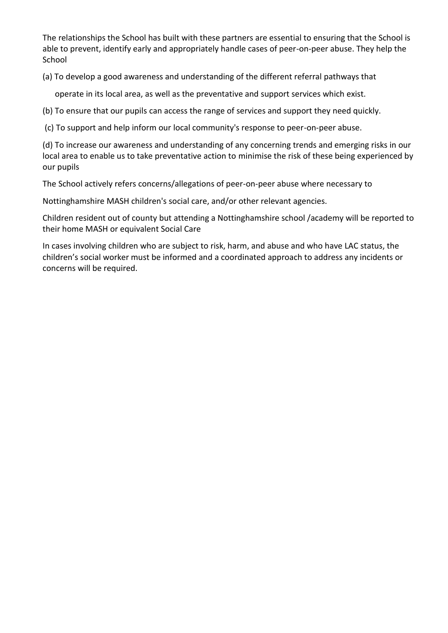The relationships the School has built with these partners are essential to ensuring that the School is able to prevent, identify early and appropriately handle cases of peer-on-peer abuse. They help the School

(a) To develop a good awareness and understanding of the different referral pathways that

operate in its local area, as well as the preventative and support services which exist.

(b) To ensure that our pupils can access the range of services and support they need quickly.

(c) To support and help inform our local community's response to peer-on-peer abuse.

(d) To increase our awareness and understanding of any concerning trends and emerging risks in our local area to enable us to take preventative action to minimise the risk of these being experienced by our pupils

The School actively refers concerns/allegations of peer-on-peer abuse where necessary to

Nottinghamshire MASH children's social care, and/or other relevant agencies.

Children resident out of county but attending a Nottinghamshire school /academy will be reported to their home MASH or equivalent Social Care

In cases involving children who are subject to risk, harm, and abuse and who have LAC status, the children's social worker must be informed and a coordinated approach to address any incidents or concerns will be required.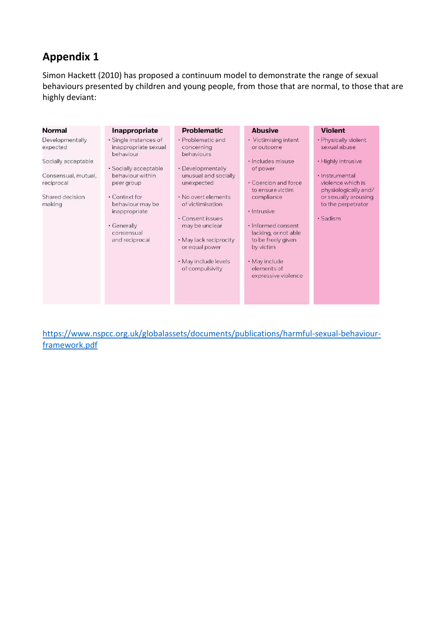# **Appendix 1**

Simon Hackett (2010) has proposed a continuum model to demonstrate the range of sexual behaviours presented by children and young people, from those that are normal, to those that are highly deviant:

| Normal                                                                                                               | Inappropriate                                                                                                                                                                                                              | <b>Problematic</b>                                                                                                                                                                                                                                                               | <b>Abusive</b>                                                                                                                                                                                                                                                                       | <b>Violent</b>                                                                                                                                                                      |
|----------------------------------------------------------------------------------------------------------------------|----------------------------------------------------------------------------------------------------------------------------------------------------------------------------------------------------------------------------|----------------------------------------------------------------------------------------------------------------------------------------------------------------------------------------------------------------------------------------------------------------------------------|--------------------------------------------------------------------------------------------------------------------------------------------------------------------------------------------------------------------------------------------------------------------------------------|-------------------------------------------------------------------------------------------------------------------------------------------------------------------------------------|
| Developmentally<br>expected<br>Socially acceptable<br>Consensual, mutual,<br>reciprocal<br>Shared decision<br>making | · Single instances of<br>inappropriate sexual<br>behaviour<br>· Socially acceptable<br>behaviour within<br>peer group<br>• Context for<br>behaviour may be<br>inappropriate<br>· Generally<br>consensual<br>and reciprocal | • Problematic and<br>concerning<br>behaviours<br>• Developmentally<br>unusual and socially<br>unexpected<br>. No overt elements<br>of victimisation<br>• Consent issues<br>may be unclear<br>• May lack reciprocity<br>or equal power<br>· May include levels<br>of compulsivity | • Victimising intent<br>or outcome<br>· Includes misuse<br>of power<br>• Coercion and force<br>to ensure victim<br>compliance<br>· Intrusive<br>· Informed consent<br>lacking, or not able<br>to be freely given<br>by victim<br>· May include<br>elements of<br>expressive violence | · Physically violent<br>sexual abuse<br>• Highly intrusive<br>· Instrumental<br>violence which is<br>physiologically and/<br>or sexually arousing<br>to the perpetrator<br>· Sadism |
|                                                                                                                      |                                                                                                                                                                                                                            |                                                                                                                                                                                                                                                                                  |                                                                                                                                                                                                                                                                                      |                                                                                                                                                                                     |

[https://www.nspcc.org.uk/globalassets/documents/publications/harmful-sexual-behaviour](https://www.nspcc.org.uk/globalassets/documents/publications/harmful-sexual-behaviour-framework.pdf)[framework.pdf](https://www.nspcc.org.uk/globalassets/documents/publications/harmful-sexual-behaviour-framework.pdf)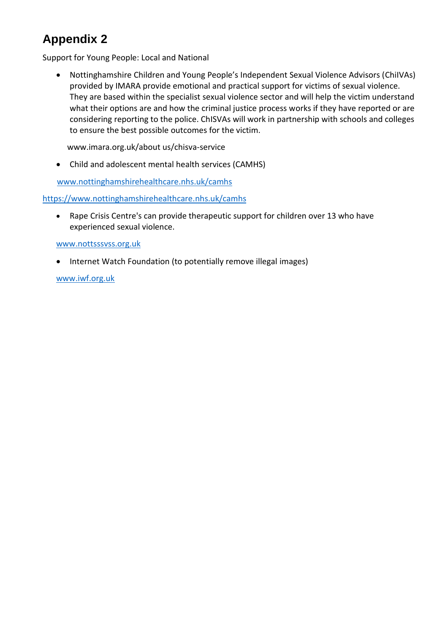# **Appendix 2**

Support for Young People: Local and National

 Nottinghamshire Children and Young People's Independent Sexual Violence Advisors (ChiIVAs) provided by IMARA provide emotional and practical support for victims of sexual violence. They are based within the specialist sexual violence sector and will help the victim understand what their options are and how the criminal justice process works if they have reported or are considering reporting to the police. ChISVAs will work in partnership with schools and colleges to ensure the best possible outcomes for the victim.

www.imara.org.uk/about us/chisva-service

Child and adolescent mental health services (CAMHS)

[www.nottinghamshirehealthcare.nhs.uk/camhs](http://www.nottinghamshirehealthcare.nhs.uk/camhs)

<https://www.nottinghamshirehealthcare.nhs.uk/camhs>

 Rape Crisis Centre's can provide therapeutic support for children over 13 who have experienced sexual violence.

#### [www.nottsssvss.org.uk](http://www.nottsssvss.org.uk/)

• Internet Watch Foundation (to potentially remove illegal images)

[www.iwf.org.uk](http://www.iwf.org.uk/)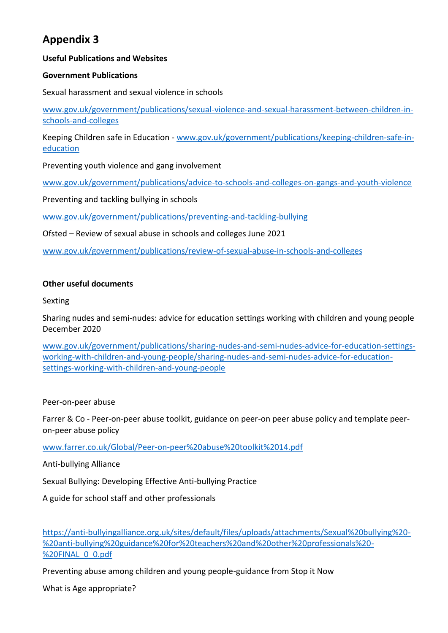# **Appendix 3**

# **Useful Publications and Websites**

# **Government Publications**

Sexual harassment and sexual violence in schools

[www.gov.uk/government/publications/sexual-violence-and-sexual-harassment-between-children-in](http://www.gov.uk/government/publications/sexual-violence-and-sexual-harassment-between-children-in-schools-and-colleges)[schools-and-colleges](http://www.gov.uk/government/publications/sexual-violence-and-sexual-harassment-between-children-in-schools-and-colleges)

Keeping Children safe in Education - [www.gov.uk/government/publications/keeping-children-safe-in](http://www.gov.uk/government/publications/keeping-children-safe-in-education)[education](http://www.gov.uk/government/publications/keeping-children-safe-in-education)

Preventing youth violence and gang involvement

[www.gov.uk/government/publications/advice-to-schools-and-colleges-on-gangs-and-youth-violence](http://www.gov.uk/government/publications/advice-to-schools-and-colleges-on-gangs-and-youth-violence)

Preventing and tackling bullying in schools

[www.gov.uk/government/publications/preventing-and-tackling-bullying](http://www.gov.uk/government/publications/preventing-and-tackling-bullying)

Ofsted – Review of sexual abuse in schools and colleges June 2021

[www.gov.uk/government/publications/review-of-sexual-abuse-in-schools-and-colleges](http://www.gov.uk/government/publications/review-of-sexual-abuse-in-schools-and-colleges)

#### **Other useful documents**

Sexting

Sharing nudes and semi-nudes: advice for education settings working with children and young people December 2020

[www.gov.uk/government/publications/sharing-nudes-and-semi-nudes-advice-for-education-settings](http://www.gov.uk/government/publications/sharing-nudes-and-semi-nudes-advice-for-education-settings-working-with-children-and-young-people/sharing-nudes-and-semi-nudes-advice-for-education-settings-working-with-children-and-young-people)[working-with-children-and-young-people/sharing-nudes-and-semi-nudes-advice-for-education](http://www.gov.uk/government/publications/sharing-nudes-and-semi-nudes-advice-for-education-settings-working-with-children-and-young-people/sharing-nudes-and-semi-nudes-advice-for-education-settings-working-with-children-and-young-people)[settings-working-with-children-and-young-people](http://www.gov.uk/government/publications/sharing-nudes-and-semi-nudes-advice-for-education-settings-working-with-children-and-young-people/sharing-nudes-and-semi-nudes-advice-for-education-settings-working-with-children-and-young-people)

Peer-on-peer abuse

Farrer & Co - Peer-on-peer abuse toolkit, guidance on peer-on peer abuse policy and template peeron-peer abuse policy

[www.farrer.co.uk/Global/Peer-on-peer%20abuse%20toolkit%2014.pdf](http://www.farrer.co.uk/Global/Peer-on-peer%20abuse%20toolkit%2014.pdf)

Anti-bullying Alliance

Sexual Bullying: Developing Effective Anti-bullying Practice

A guide for school staff and other professionals

[https://anti-bullyingalliance.org.uk/sites/default/files/uploads/attachments/Sexual%20bullying%20-](https://anti-bullyingalliance.org.uk/sites/default/files/uploads/attachments/Sexual%20bullying%20-%20anti-bullying%20guidance%20for%20teachers%20and%20other%20professionals%20-%20FINAL_0_0.pdf) [%20anti-bullying%20guidance%20for%20teachers%20and%20other%20professionals%20-](https://anti-bullyingalliance.org.uk/sites/default/files/uploads/attachments/Sexual%20bullying%20-%20anti-bullying%20guidance%20for%20teachers%20and%20other%20professionals%20-%20FINAL_0_0.pdf) [%20FINAL\\_0\\_0.pdf](https://anti-bullyingalliance.org.uk/sites/default/files/uploads/attachments/Sexual%20bullying%20-%20anti-bullying%20guidance%20for%20teachers%20and%20other%20professionals%20-%20FINAL_0_0.pdf)

Preventing abuse among children and young people-guidance from Stop it Now

What is Age appropriate?